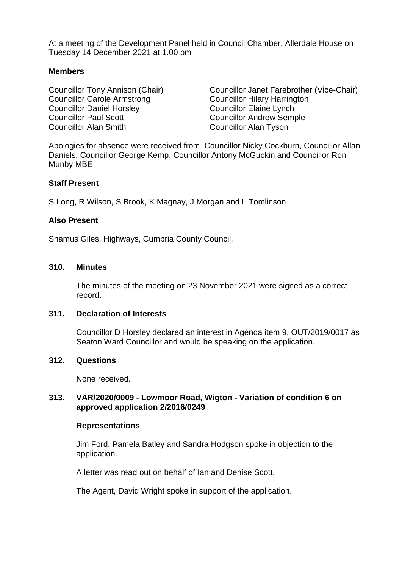At a meeting of the Development Panel held in Council Chamber, Allerdale House on Tuesday 14 December 2021 at 1.00 pm

# **Members**

Councillor Carole Armstrong Councillor Hilary Harrington Councillor Daniel Horsley Councillor Elaine Lynch Councillor Paul Scott Councillor Andrew Semple Councillor Alan Smith Councillor Alan Tyson

Councillor Tony Annison (Chair) Councillor Janet Farebrother (Vice-Chair)

Apologies for absence were received from Councillor Nicky Cockburn, Councillor Allan Daniels, Councillor George Kemp, Councillor Antony McGuckin and Councillor Ron Munby MBE

### **Staff Present**

S Long, R Wilson, S Brook, K Magnay, J Morgan and L Tomlinson

### **Also Present**

Shamus Giles, Highways, Cumbria County Council.

### **310. Minutes**

The minutes of the meeting on 23 November 2021 were signed as a correct record.

#### **311. Declaration of Interests**

Councillor D Horsley declared an interest in Agenda item 9, OUT/2019/0017 as Seaton Ward Councillor and would be speaking on the application.

#### **312. Questions**

None received.

# **313. VAR/2020/0009 - Lowmoor Road, Wigton - Variation of condition 6 on approved application 2/2016/0249**

#### **Representations**

Jim Ford, Pamela Batley and Sandra Hodgson spoke in objection to the application.

A letter was read out on behalf of Ian and Denise Scott.

The Agent, David Wright spoke in support of the application.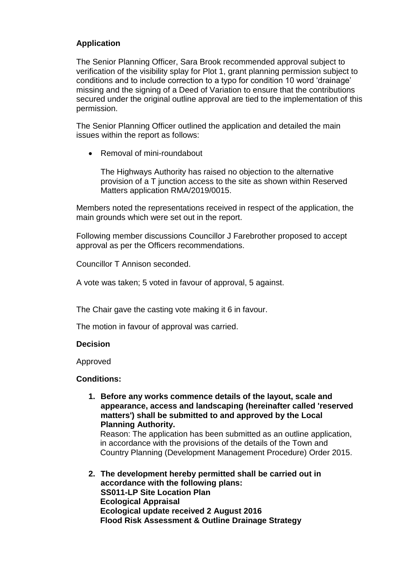# **Application**

The Senior Planning Officer, Sara Brook recommended approval subject to verification of the visibility splay for Plot 1, grant planning permission subject to conditions and to include correction to a typo for condition 10 word 'drainage' missing and the signing of a Deed of Variation to ensure that the contributions secured under the original outline approval are tied to the implementation of this permission.

The Senior Planning Officer outlined the application and detailed the main issues within the report as follows:

• Removal of mini-roundabout

The Highways Authority has raised no objection to the alternative provision of a T junction access to the site as shown within Reserved Matters application RMA/2019/0015.

Members noted the representations received in respect of the application, the main grounds which were set out in the report.

Following member discussions Councillor J Farebrother proposed to accept approval as per the Officers recommendations.

Councillor T Annison seconded.

A vote was taken; 5 voted in favour of approval, 5 against.

The Chair gave the casting vote making it 6 in favour.

The motion in favour of approval was carried.

# **Decision**

Approved

# **Conditions:**

**1. Before any works commence details of the layout, scale and appearance, access and landscaping (hereinafter called 'reserved matters') shall be submitted to and approved by the Local Planning Authority.**

Reason: The application has been submitted as an outline application, in accordance with the provisions of the details of the Town and Country Planning (Development Management Procedure) Order 2015.

**2. The development hereby permitted shall be carried out in accordance with the following plans: SS011-LP Site Location Plan Ecological Appraisal Ecological update received 2 August 2016 Flood Risk Assessment & Outline Drainage Strategy**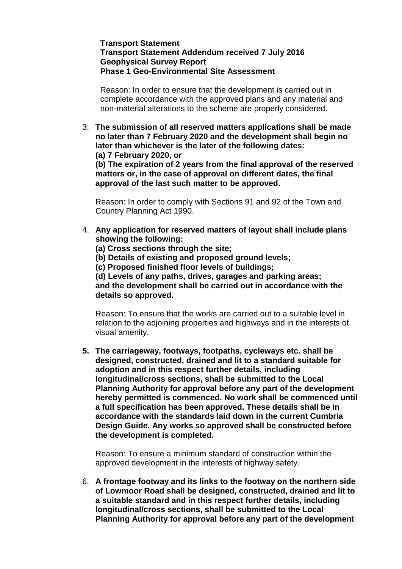### **Transport Statement Transport Statement Addendum received 7 July 2016 Geophysical Survey Report Phase 1 Geo-Environmental Site Assessment**

Reason: In order to ensure that the development is carried out in complete accordance with the approved plans and any material and non-material alterations to the scheme are properly considered.

3. **The submission of all reserved matters applications shall be made no later than 7 February 2020 and the development shall begin no later than whichever is the later of the following dates:**

**(a) 7 February 2020, or** 

**(b) The expiration of 2 years from the final approval of the reserved matters or, in the case of approval on different dates, the final approval of the last such matter to be approved.**

Reason: In order to comply with Sections 91 and 92 of the Town and Country Planning Act 1990.

- 4. **Any application for reserved matters of layout shall include plans showing the following:**
	- **(a) Cross sections through the site;**
	- **(b) Details of existing and proposed ground levels;**
	- **(c) Proposed finished floor levels of buildings;**

**(d) Levels of any paths, drives, garages and parking areas; and the development shall be carried out in accordance with the details so approved.**

Reason: To ensure that the works are carried out to a suitable level in relation to the adjoining properties and highways and in the interests of visual amenity.

**5. The carriageway, footways, footpaths, cycleways etc. shall be designed, constructed, drained and lit to a standard suitable for adoption and in this respect further details, including longitudinal/cross sections, shall be submitted to the Local Planning Authority for approval before any part of the development hereby permitted is commenced. No work shall be commenced until a full specification has been approved. These details shall be in accordance with the standards laid down in the current Cumbria Design Guide. Any works so approved shall be constructed before the development is completed.**

Reason: To ensure a minimum standard of construction within the approved development in the interests of highway safety.

6. **A frontage footway and its links to the footway on the northern side of Lowmoor Road shall be designed, constructed, drained and lit to a suitable standard and in this respect further details, including longitudinal/cross sections, shall be submitted to the Local Planning Authority for approval before any part of the development**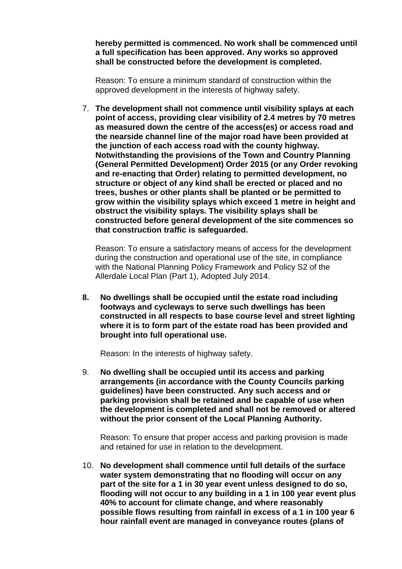**hereby permitted is commenced. No work shall be commenced until a full specification has been approved. Any works so approved shall be constructed before the development is completed.**

Reason: To ensure a minimum standard of construction within the approved development in the interests of highway safety.

7. **The development shall not commence until visibility splays at each point of access, providing clear visibility of 2.4 metres by 70 metres as measured down the centre of the access(es) or access road and the nearside channel line of the major road have been provided at the junction of each access road with the county highway. Notwithstanding the provisions of the Town and Country Planning (General Permitted Development) Order 2015 (or any Order revoking and re-enacting that Order) relating to permitted development, no structure or object of any kind shall be erected or placed and no trees, bushes or other plants shall be planted or be permitted to grow within the visibility splays which exceed 1 metre in height and obstruct the visibility splays. The visibility splays shall be constructed before general development of the site commences so that construction traffic is safeguarded.**

Reason: To ensure a satisfactory means of access for the development during the construction and operational use of the site, in compliance with the National Planning Policy Framework and Policy S2 of the Allerdale Local Plan (Part 1), Adopted July 2014.

**8. No dwellings shall be occupied until the estate road including footways and cycleways to serve such dwellings has been constructed in all respects to base course level and street lighting where it is to form part of the estate road has been provided and brought into full operational use.**

Reason: In the interests of highway safety.

9. **No dwelling shall be occupied until its access and parking arrangements (in accordance with the County Councils parking guidelines) have been constructed. Any such access and or parking provision shall be retained and be capable of use when the development is completed and shall not be removed or altered without the prior consent of the Local Planning Authority.**

Reason: To ensure that proper access and parking provision is made and retained for use in relation to the development.

10. **No development shall commence until full details of the surface water system demonstrating that no flooding will occur on any part of the site for a 1 in 30 year event unless designed to do so, flooding will not occur to any building in a 1 in 100 year event plus 40% to account for climate change, and where reasonably possible flows resulting from rainfall in excess of a 1 in 100 year 6 hour rainfall event are managed in conveyance routes (plans of**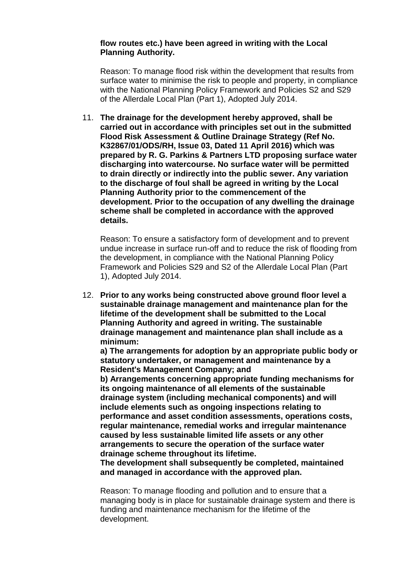#### **flow routes etc.) have been agreed in writing with the Local Planning Authority.**

Reason: To manage flood risk within the development that results from surface water to minimise the risk to people and property, in compliance with the National Planning Policy Framework and Policies S2 and S29 of the Allerdale Local Plan (Part 1), Adopted July 2014.

11. **The drainage for the development hereby approved, shall be carried out in accordance with principles set out in the submitted Flood Risk Assessment & Outline Drainage Strategy (Ref No. K32867/01/ODS/RH, Issue 03, Dated 11 April 2016) which was prepared by R. G. Parkins & Partners LTD proposing surface water discharging into watercourse. No surface water will be permitted to drain directly or indirectly into the public sewer. Any variation to the discharge of foul shall be agreed in writing by the Local Planning Authority prior to the commencement of the development. Prior to the occupation of any dwelling the drainage scheme shall be completed in accordance with the approved details.**

Reason: To ensure a satisfactory form of development and to prevent undue increase in surface run-off and to reduce the risk of flooding from the development, in compliance with the National Planning Policy Framework and Policies S29 and S2 of the Allerdale Local Plan (Part 1), Adopted July 2014.

12. **Prior to any works being constructed above ground floor level a sustainable drainage management and maintenance plan for the lifetime of the development shall be submitted to the Local Planning Authority and agreed in writing. The sustainable drainage management and maintenance plan shall include as a minimum:**

**a) The arrangements for adoption by an appropriate public body or statutory undertaker, or management and maintenance by a Resident's Management Company; and**

**b) Arrangements concerning appropriate funding mechanisms for its ongoing maintenance of all elements of the sustainable drainage system (including mechanical components) and will include elements such as ongoing inspections relating to performance and asset condition assessments, operations costs, regular maintenance, remedial works and irregular maintenance caused by less sustainable limited life assets or any other arrangements to secure the operation of the surface water drainage scheme throughout its lifetime.**

**The development shall subsequently be completed, maintained and managed in accordance with the approved plan.**

Reason: To manage flooding and pollution and to ensure that a managing body is in place for sustainable drainage system and there is funding and maintenance mechanism for the lifetime of the development.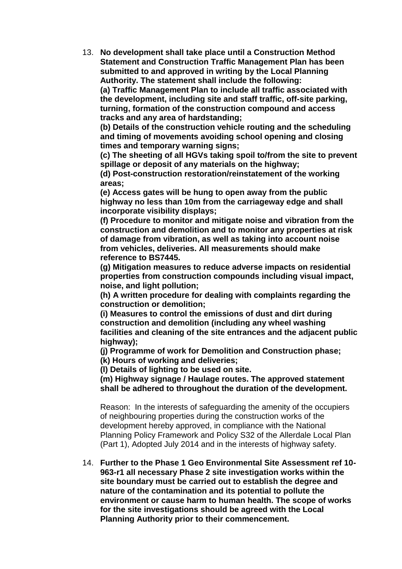13. **No development shall take place until a Construction Method Statement and Construction Traffic Management Plan has been submitted to and approved in writing by the Local Planning Authority. The statement shall include the following:** 

**(a) Traffic Management Plan to include all traffic associated with the development, including site and staff traffic, off-site parking, turning, formation of the construction compound and access tracks and any area of hardstanding;** 

**(b) Details of the construction vehicle routing and the scheduling and timing of movements avoiding school opening and closing times and temporary warning signs;**

**(c) The sheeting of all HGVs taking spoil to/from the site to prevent spillage or deposit of any materials on the highway;**

**(d) Post-construction restoration/reinstatement of the working areas;**

**(e) Access gates will be hung to open away from the public highway no less than 10m from the carriageway edge and shall incorporate visibility displays;**

**(f) Procedure to monitor and mitigate noise and vibration from the construction and demolition and to monitor any properties at risk of damage from vibration, as well as taking into account noise from vehicles, deliveries. All measurements should make reference to BS7445.** 

**(g) Mitigation measures to reduce adverse impacts on residential properties from construction compounds including visual impact, noise, and light pollution;** 

**(h) A written procedure for dealing with complaints regarding the construction or demolition;** 

**(i) Measures to control the emissions of dust and dirt during construction and demolition (including any wheel washing facilities and cleaning of the site entrances and the adjacent public highway);** 

**(j) Programme of work for Demolition and Construction phase;** 

**(k) Hours of working and deliveries;** 

**(l) Details of lighting to be used on site.** 

**(m) Highway signage / Haulage routes. The approved statement shall be adhered to throughout the duration of the development.**

Reason: In the interests of safeguarding the amenity of the occupiers of neighbouring properties during the construction works of the development hereby approved, in compliance with the National Planning Policy Framework and Policy S32 of the Allerdale Local Plan (Part 1), Adopted July 2014 and in the interests of highway safety.

14. **Further to the Phase 1 Geo Environmental Site Assessment ref 10- 963-r1 all necessary Phase 2 site investigation works within the site boundary must be carried out to establish the degree and nature of the contamination and its potential to pollute the environment or cause harm to human health. The scope of works for the site investigations should be agreed with the Local Planning Authority prior to their commencement.**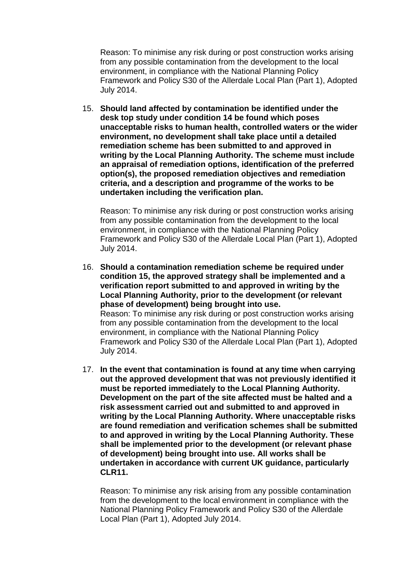Reason: To minimise any risk during or post construction works arising from any possible contamination from the development to the local environment, in compliance with the National Planning Policy Framework and Policy S30 of the Allerdale Local Plan (Part 1), Adopted July 2014.

15. **Should land affected by contamination be identified under the desk top study under condition 14 be found which poses unacceptable risks to human health, controlled waters or the wider environment, no development shall take place until a detailed remediation scheme has been submitted to and approved in writing by the Local Planning Authority. The scheme must include an appraisal of remediation options, identification of the preferred option(s), the proposed remediation objectives and remediation criteria, and a description and programme of the works to be undertaken including the verification plan.**

Reason: To minimise any risk during or post construction works arising from any possible contamination from the development to the local environment, in compliance with the National Planning Policy Framework and Policy S30 of the Allerdale Local Plan (Part 1), Adopted July 2014.

- 16. **Should a contamination remediation scheme be required under condition 15, the approved strategy shall be implemented and a verification report submitted to and approved in writing by the Local Planning Authority, prior to the development (or relevant phase of development) being brought into use.** Reason: To minimise any risk during or post construction works arising from any possible contamination from the development to the local environment, in compliance with the National Planning Policy Framework and Policy S30 of the Allerdale Local Plan (Part 1), Adopted July 2014.
- 17. **In the event that contamination is found at any time when carrying out the approved development that was not previously identified it must be reported immediately to the Local Planning Authority. Development on the part of the site affected must be halted and a risk assessment carried out and submitted to and approved in writing by the Local Planning Authority. Where unacceptable risks are found remediation and verification schemes shall be submitted to and approved in writing by the Local Planning Authority. These shall be implemented prior to the development (or relevant phase of development) being brought into use. All works shall be undertaken in accordance with current UK guidance, particularly CLR11.**

Reason: To minimise any risk arising from any possible contamination from the development to the local environment in compliance with the National Planning Policy Framework and Policy S30 of the Allerdale Local Plan (Part 1), Adopted July 2014.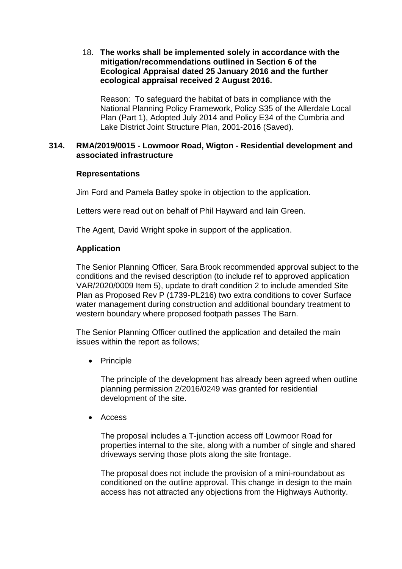18. **The works shall be implemented solely in accordance with the mitigation/recommendations outlined in Section 6 of the Ecological Appraisal dated 25 January 2016 and the further ecological appraisal received 2 August 2016.**

Reason: To safeguard the habitat of bats in compliance with the National Planning Policy Framework, Policy S35 of the Allerdale Local Plan (Part 1), Adopted July 2014 and Policy E34 of the Cumbria and Lake District Joint Structure Plan, 2001-2016 (Saved).

# **314. RMA/2019/0015 - Lowmoor Road, Wigton - Residential development and associated infrastructure**

# **Representations**

Jim Ford and Pamela Batley spoke in objection to the application.

Letters were read out on behalf of Phil Hayward and Iain Green.

The Agent, David Wright spoke in support of the application.

# **Application**

The Senior Planning Officer, Sara Brook recommended approval subject to the conditions and the revised description (to include ref to approved application VAR/2020/0009 Item 5), update to draft condition 2 to include amended Site Plan as Proposed Rev P (1739-PL216) two extra conditions to cover Surface water management during construction and additional boundary treatment to western boundary where proposed footpath passes The Barn.

The Senior Planning Officer outlined the application and detailed the main issues within the report as follows;

• Principle

The principle of the development has already been agreed when outline planning permission 2/2016/0249 was granted for residential development of the site.

Access

The proposal includes a T-junction access off Lowmoor Road for properties internal to the site, along with a number of single and shared driveways serving those plots along the site frontage.

The proposal does not include the provision of a mini-roundabout as conditioned on the outline approval. This change in design to the main access has not attracted any objections from the Highways Authority.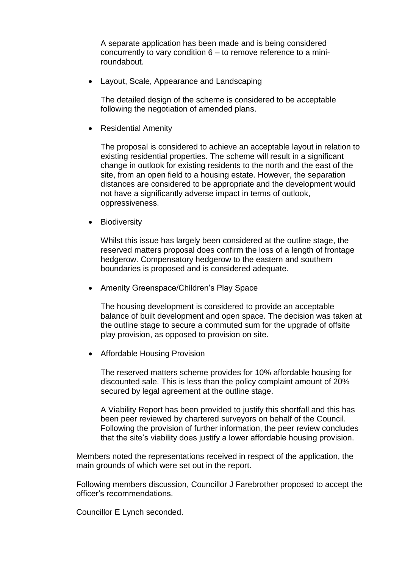A separate application has been made and is being considered concurrently to vary condition 6 – to remove reference to a miniroundabout.

Layout, Scale, Appearance and Landscaping

The detailed design of the scheme is considered to be acceptable following the negotiation of amended plans.

• Residential Amenity

The proposal is considered to achieve an acceptable layout in relation to existing residential properties. The scheme will result in a significant change in outlook for existing residents to the north and the east of the site, from an open field to a housing estate. However, the separation distances are considered to be appropriate and the development would not have a significantly adverse impact in terms of outlook, oppressiveness.

• Biodiversity

Whilst this issue has largely been considered at the outline stage, the reserved matters proposal does confirm the loss of a length of frontage hedgerow. Compensatory hedgerow to the eastern and southern boundaries is proposed and is considered adequate.

• Amenity Greenspace/Children's Play Space

The housing development is considered to provide an acceptable balance of built development and open space. The decision was taken at the outline stage to secure a commuted sum for the upgrade of offsite play provision, as opposed to provision on site.

• Affordable Housing Provision

The reserved matters scheme provides for 10% affordable housing for discounted sale. This is less than the policy complaint amount of 20% secured by legal agreement at the outline stage.

A Viability Report has been provided to justify this shortfall and this has been peer reviewed by chartered surveyors on behalf of the Council. Following the provision of further information, the peer review concludes that the site's viability does justify a lower affordable housing provision.

Members noted the representations received in respect of the application, the main grounds of which were set out in the report.

Following members discussion, Councillor J Farebrother proposed to accept the officer's recommendations.

Councillor E Lynch seconded.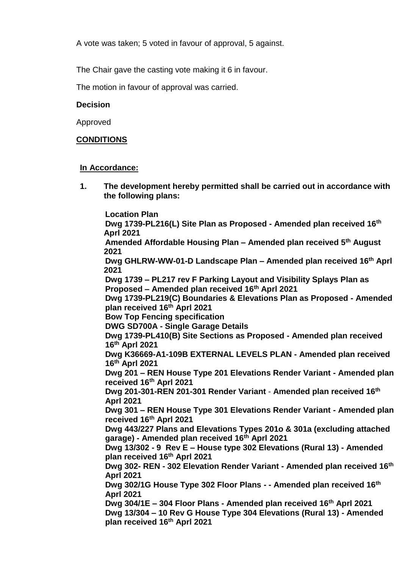A vote was taken; 5 voted in favour of approval, 5 against.

The Chair gave the casting vote making it 6 in favour.

The motion in favour of approval was carried.

# **Decision**

Approved

# **CONDITIONS**

# **In Accordance:**

**1. The development hereby permitted shall be carried out in accordance with the following plans:**

**Location Plan Dwg 1739-PL216(L) Site Plan as Proposed - Amended plan received 16th Aprl 2021 Amended Affordable Housing Plan – Amended plan received 5th August 2021 Dwg GHLRW-WW-01-D Landscape Plan – Amended plan received 16th Aprl 2021 Dwg 1739 – PL217 rev F Parking Layout and Visibility Splays Plan as Proposed – Amended plan received 16th Aprl 2021 Dwg 1739-PL219(C) Boundaries & Elevations Plan as Proposed - Amended plan received 16 th Aprl 2021 Bow Top Fencing specification DWG SD700A - Single Garage Details Dwg 1739-PL410(B) Site Sections as Proposed - Amended plan received 16th Aprl 2021 Dwg K36669-A1-109B EXTERNAL LEVELS PLAN - Amended plan received 16th Aprl 2021 Dwg 201 – REN House Type 201 Elevations Render Variant - Amended plan received 16th Aprl 2021 Dwg 201-301-REN 201-301 Render Variant** - **Amended plan received 16th Aprl 2021 Dwg 301 – REN House Type 301 Elevations Render Variant - Amended plan received 16th Aprl 2021 Dwg 443/227 Plans and Elevations Types 201o & 301a (excluding attached garage) - Amended plan received 16th Aprl 2021 Dwg 13/302 - 9 Rev E – House type 302 Elevations (Rural 13) - Amended plan received 16th Aprl 2021 Dwg 302- REN - 302 Elevation Render Variant - Amended plan received 16th Aprl 2021 Dwg 302/1G House Type 302 Floor Plans - - Amended plan received 16th Aprl 2021 Dwg 304/1E – 304 Floor Plans - Amended plan received 16th Aprl 2021 Dwg 13/304 – 10 Rev G House Type 304 Elevations (Rural 13) - Amended plan received 16th Aprl 2021**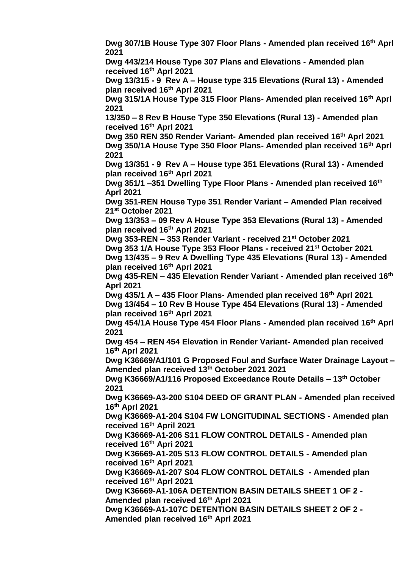**Dwg 307/1B House Type 307 Floor Plans - Amended plan received 16th Aprl 2021 Dwg 443/214 House Type 307 Plans and Elevations - Amended plan received 16th Aprl 2021 Dwg 13/315 - 9 Rev A – House type 315 Elevations (Rural 13) - Amended plan received 16th Aprl 2021 Dwg 315/1A House Type 315 Floor Plans- Amended plan received 16th Aprl 2021 13/350 – 8 Rev B House Type 350 Elevations (Rural 13) - Amended plan received 16th Aprl 2021 Dwg 350 REN 350 Render Variant- Amended plan received 16th Aprl 2021 Dwg 350/1A House Type 350 Floor Plans- Amended plan received 16th Aprl 2021 Dwg 13/351 - 9 Rev A – House type 351 Elevations (Rural 13) - Amended plan received 16th Aprl 2021 Dwg 351/1 –351 Dwelling Type Floor Plans - Amended plan received 16th Aprl 2021 Dwg 351-REN House Type 351 Render Variant – Amended Plan received 21st October 2021 Dwg 13/353 – 09 Rev A House Type 353 Elevations (Rural 13) - Amended plan received 16th Aprl 2021 Dwg 353-REN – 353 Render Variant - received 21st October 2021 Dwg 353 1/A House Type 353 Floor Plans - received 21st October 2021 Dwg 13/435 – 9 Rev A Dwelling Type 435 Elevations (Rural 13) - Amended plan received 16th Aprl 2021 Dwg 435-REN – 435 Elevation Render Variant - Amended plan received 16th Aprl 2021 Dwg 435/1 A – 435 Floor Plans- Amended plan received 16th Aprl 2021 Dwg 13/454 – 10 Rev B House Type 454 Elevations (Rural 13) - Amended plan received 16th Aprl 2021 Dwg 454/1A House Type 454 Floor Plans - Amended plan received 16th Aprl 2021 Dwg 454 – REN 454 Elevation in Render Variant- Amended plan received 16th Aprl 2021 Dwg K36669/A1/101 G Proposed Foul and Surface Water Drainage Layout – Amended plan received 13th October 2021 2021 Dwg K36669/A1/116 Proposed Exceedance Route Details – 13th October 2021 Dwg K36669-A3-200 S104 DEED OF GRANT PLAN - Amended plan received 16th Aprl 2021 Dwg K36669-A1-204 S104 FW LONGITUDINAL SECTIONS - Amended plan received 16th April 2021 Dwg K36669-A1-206 S11 FLOW CONTROL DETAILS - Amended plan received 16th Apri 2021 Dwg K36669-A1-205 S13 FLOW CONTROL DETAILS - Amended plan received 16th Aprl 2021 Dwg K36669-A1-207 S04 FLOW CONTROL DETAILS - Amended plan received 16th Aprl 2021 Dwg K36669-A1-106A DETENTION BASIN DETAILS SHEET 1 OF 2 - Amended plan received 16th Aprl 2021 Dwg K36669-A1-107C DETENTION BASIN DETAILS SHEET 2 OF 2 - Amended plan received 16th Aprl 2021**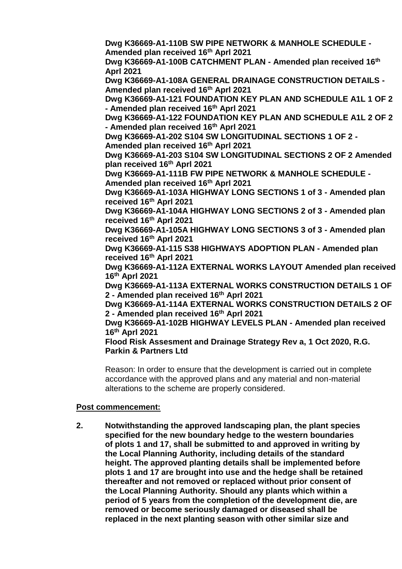**Dwg K36669-A1-110B SW PIPE NETWORK & MANHOLE SCHEDULE - Amended plan received 16th Aprl 2021**

**Dwg K36669-A1-100B CATCHMENT PLAN - Amended plan received 16th Aprl 2021**

**Dwg K36669-A1-108A GENERAL DRAINAGE CONSTRUCTION DETAILS - Amended plan received 16th Aprl 2021**

**Dwg K36669-A1-121 FOUNDATION KEY PLAN AND SCHEDULE A1L 1 OF 2 - Amended plan received 16th Aprl 2021**

**Dwg K36669-A1-122 FOUNDATION KEY PLAN AND SCHEDULE A1L 2 OF 2 - Amended plan received 16th Aprl 2021** 

**Dwg K36669-A1-202 S104 SW LONGITUDINAL SECTIONS 1 OF 2 -**

**Amended plan received 16th Aprl 2021**

**Dwg K36669-A1-203 S104 SW LONGITUDINAL SECTIONS 2 OF 2 Amended plan received 16th Aprl 2021**

**Dwg K36669-A1-111B FW PIPE NETWORK & MANHOLE SCHEDULE - Amended plan received 16th Aprl 2021**

**Dwg K36669-A1-103A HIGHWAY LONG SECTIONS 1 of 3 - Amended plan received 16th Aprl 2021**

**Dwg K36669-A1-104A HIGHWAY LONG SECTIONS 2 of 3 - Amended plan received 16th Aprl 2021**

**Dwg K36669-A1-105A HIGHWAY LONG SECTIONS 3 of 3 - Amended plan received 16th Aprl 2021**

**Dwg K36669-A1-115 S38 HIGHWAYS ADOPTION PLAN - Amended plan received 16th Aprl 2021**

**Dwg K36669-A1-112A EXTERNAL WORKS LAYOUT Amended plan received 16th Aprl 2021**

**Dwg K36669-A1-113A EXTERNAL WORKS CONSTRUCTION DETAILS 1 OF 2 - Amended plan received 16th Aprl 2021**

**Dwg K36669-A1-114A EXTERNAL WORKS CONSTRUCTION DETAILS 2 OF 2 - Amended plan received 16th Aprl 2021**

**Dwg K36669-A1-102B HIGHWAY LEVELS PLAN - Amended plan received 16th Aprl 2021**

**Flood Risk Assesment and Drainage Strategy Rev a, 1 Oct 2020, R.G. Parkin & Partners Ltd**

Reason: In order to ensure that the development is carried out in complete accordance with the approved plans and any material and non-material alterations to the scheme are properly considered.

# **Post commencement:**

**2. Notwithstanding the approved landscaping plan, the plant species specified for the new boundary hedge to the western boundaries of plots 1 and 17, shall be submitted to and approved in writing by the Local Planning Authority, including details of the standard height. The approved planting details shall be implemented before plots 1 and 17 are brought into use and the hedge shall be retained thereafter and not removed or replaced without prior consent of the Local Planning Authority. Should any plants which within a period of 5 years from the completion of the development die, are removed or become seriously damaged or diseased shall be replaced in the next planting season with other similar size and**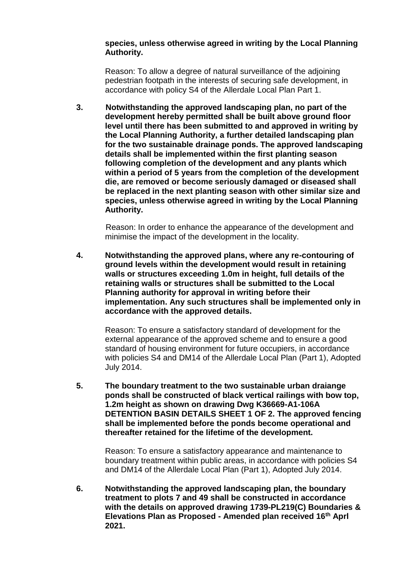### **species, unless otherwise agreed in writing by the Local Planning Authority.**

Reason: To allow a degree of natural surveillance of the adjoining pedestrian footpath in the interests of securing safe development, in accordance with policy S4 of the Allerdale Local Plan Part 1.

**3. Notwithstanding the approved landscaping plan, no part of the development hereby permitted shall be built above ground floor level until there has been submitted to and approved in writing by the Local Planning Authority, a further detailed landscaping plan for the two sustainable drainage ponds. The approved landscaping details shall be implemented within the first planting season following completion of the development and any plants which within a period of 5 years from the completion of the development die, are removed or become seriously damaged or diseased shall be replaced in the next planting season with other similar size and species, unless otherwise agreed in writing by the Local Planning Authority.**

 Reason: In order to enhance the appearance of the development and minimise the impact of the development in the locality.

**4. Notwithstanding the approved plans, where any re-contouring of ground levels within the development would result in retaining walls or structures exceeding 1.0m in height, full details of the retaining walls or structures shall be submitted to the Local Planning authority for approval in writing before their implementation. Any such structures shall be implemented only in accordance with the approved details.** 

Reason: To ensure a satisfactory standard of development for the external appearance of the approved scheme and to ensure a good standard of housing environment for future occupiers, in accordance with policies S4 and DM14 of the Allerdale Local Plan (Part 1), Adopted July 2014.

**5. The boundary treatment to the two sustainable urban draiange ponds shall be constructed of black vertical railings with bow top, 1.2m height as shown on drawing Dwg K36669-A1-106A DETENTION BASIN DETAILS SHEET 1 OF 2. The approved fencing shall be implemented before the ponds become operational and thereafter retained for the lifetime of the development.**

Reason: To ensure a satisfactory appearance and maintenance to boundary treatment within public areas, in accordance with policies S4 and DM14 of the Allerdale Local Plan (Part 1), Adopted July 2014.

**6. Notwithstanding the approved landscaping plan, the boundary treatment to plots 7 and 49 shall be constructed in accordance with the details on approved drawing 1739-PL219(C) Boundaries & Elevations Plan as Proposed - Amended plan received 16th Aprl 2021.**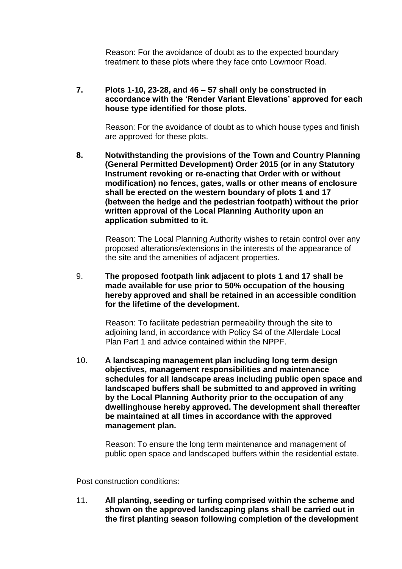Reason: For the avoidance of doubt as to the expected boundary treatment to these plots where they face onto Lowmoor Road.

**7. Plots 1-10, 23-28, and 46 – 57 shall only be constructed in accordance with the 'Render Variant Elevations' approved for each house type identified for those plots.** 

Reason: For the avoidance of doubt as to which house types and finish are approved for these plots.

**8. Notwithstanding the provisions of the Town and Country Planning (General Permitted Development) Order 2015 (or in any Statutory Instrument revoking or re-enacting that Order with or without modification) no fences, gates, walls or other means of enclosure shall be erected on the western boundary of plots 1 and 17 (between the hedge and the pedestrian footpath) without the prior written approval of the Local Planning Authority upon an application submitted to it.**

 Reason: The Local Planning Authority wishes to retain control over any proposed alterations/extensions in the interests of the appearance of the site and the amenities of adjacent properties.

9. **The proposed footpath link adjacent to plots 1 and 17 shall be made available for use prior to 50% occupation of the housing hereby approved and shall be retained in an accessible condition for the lifetime of the development.** 

> Reason: To facilitate pedestrian permeability through the site to adjoining land, in accordance with Policy S4 of the Allerdale Local Plan Part 1 and advice contained within the NPPF.

10. **A landscaping management plan including long term design objectives, management responsibilities and maintenance schedules for all landscape areas including public open space and landscaped buffers shall be submitted to and approved in writing by the Local Planning Authority prior to the occupation of any dwellinghouse hereby approved. The development shall thereafter be maintained at all times in accordance with the approved management plan.** 

Reason: To ensure the long term maintenance and management of public open space and landscaped buffers within the residential estate.

Post construction conditions:

11. **All planting, seeding or turfing comprised within the scheme and shown on the approved landscaping plans shall be carried out in the first planting season following completion of the development**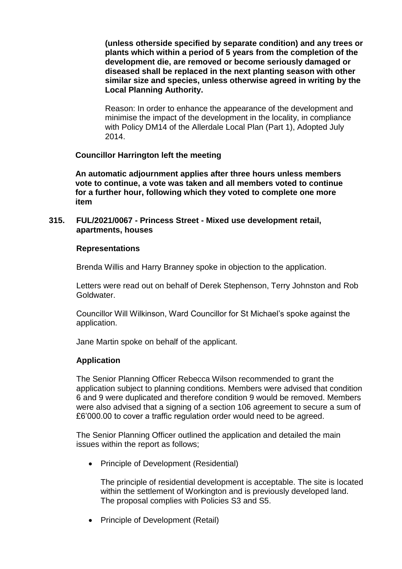**(unless otherside specified by separate condition) and any trees or plants which within a period of 5 years from the completion of the development die, are removed or become seriously damaged or diseased shall be replaced in the next planting season with other similar size and species, unless otherwise agreed in writing by the Local Planning Authority.**

Reason: In order to enhance the appearance of the development and minimise the impact of the development in the locality, in compliance with Policy DM14 of the Allerdale Local Plan (Part 1), Adopted July 2014.

# **Councillor Harrington left the meeting**

**An automatic adjournment applies after three hours unless members vote to continue, a vote was taken and all members voted to continue for a further hour, following which they voted to complete one more item** 

# **315. FUL/2021/0067 - Princess Street - Mixed use development retail, apartments, houses**

### **Representations**

Brenda Willis and Harry Branney spoke in objection to the application.

Letters were read out on behalf of Derek Stephenson, Terry Johnston and Rob Goldwater.

Councillor Will Wilkinson, Ward Councillor for St Michael's spoke against the application.

Jane Martin spoke on behalf of the applicant.

# **Application**

The Senior Planning Officer Rebecca Wilson recommended to grant the application subject to planning conditions. Members were advised that condition 6 and 9 were duplicated and therefore condition 9 would be removed. Members were also advised that a signing of a section 106 agreement to secure a sum of £6'000.00 to cover a traffic regulation order would need to be agreed.

The Senior Planning Officer outlined the application and detailed the main issues within the report as follows;

• Principle of Development (Residential)

The principle of residential development is acceptable. The site is located within the settlement of Workington and is previously developed land. The proposal complies with Policies S3 and S5.

• Principle of Development (Retail)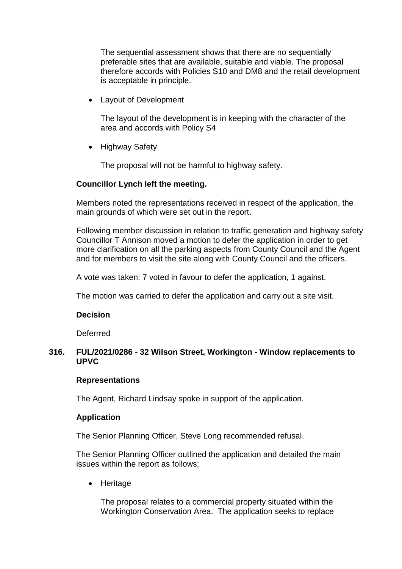The sequential assessment shows that there are no sequentially preferable sites that are available, suitable and viable. The proposal therefore accords with Policies S10 and DM8 and the retail development is acceptable in principle.

Layout of Development

The layout of the development is in keeping with the character of the area and accords with Policy S4

• Highway Safety

The proposal will not be harmful to highway safety.

#### **Councillor Lynch left the meeting.**

Members noted the representations received in respect of the application, the main grounds of which were set out in the report.

Following member discussion in relation to traffic generation and highway safety Councillor T Annison moved a motion to defer the application in order to get more clarification on all the parking aspects from County Council and the Agent and for members to visit the site along with County Council and the officers.

A vote was taken: 7 voted in favour to defer the application, 1 against.

The motion was carried to defer the application and carry out a site visit.

#### **Decision**

Deferrred

# **316. FUL/2021/0286 - 32 Wilson Street, Workington - Window replacements to UPVC**

#### **Representations**

The Agent, Richard Lindsay spoke in support of the application.

#### **Application**

The Senior Planning Officer, Steve Long recommended refusal.

The Senior Planning Officer outlined the application and detailed the main issues within the report as follows;

• Heritage

The proposal relates to a commercial property situated within the Workington Conservation Area. The application seeks to replace